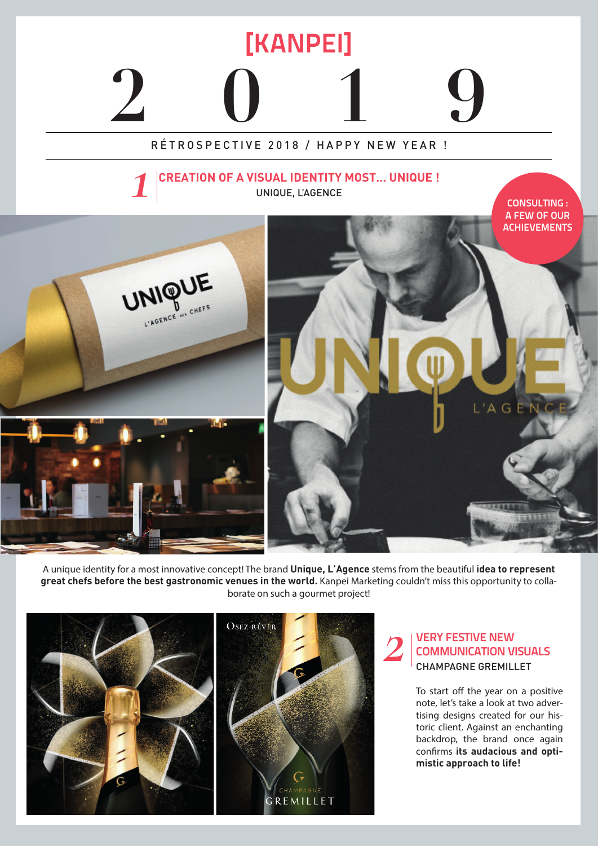

A unique identity for a most innovative concept! The brand **Unique, L'Agence** stems from the beautiful **idea to represent great chefs before the best gastronomic venues in the world.** Kanpei Marketing couldn't miss this opportunity to collaborate on such a gourmet project!



## **VERY FESTIVE NEW COMMUNICATION VISUALS** CHAMPAGNE GREMILLET

To start off the year on a positive note, let's take a look at two advertising designs created for our historic client. Against an enchanting backdrop, the brand once again confirms **its audacious and optimistic approach to life!**